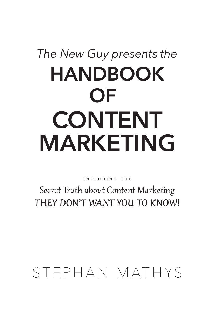# **OF** *The New Guy presents the* **HANDBOOK MARKETING CONTENT**

Including The

Secret Truth about Content Marketing THEY DON'T WANT YOU TO KNOW!

## STEPHAN MATHYS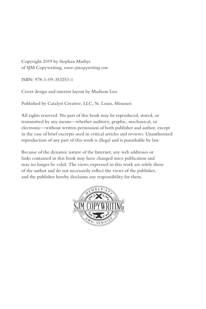Copyright 2019 by Stephan Mathys of SJM Copywriting, *www.sjmcopywriting.com*

ISBN: 978-1-09-353253-1

Cover design and interior layout by Madison Lux

Published by Catalyst Creative, LLC, St. Louis, Missouri

All rights reserved. No part of this book may be reproduced, stored, or transmitted by any means—whether auditory, graphic, mechanical, or electronic—without written permission of both publisher and author, except in the case of brief excerpts used in critical articles and reviews. Unauthorized reproduction of any part of this work is illegal and is punishable by law.

Because of the dynamic nature of the Internet, any web addresses or links contained in this book may have changed since publication and may no longer be valid. The views expressed in this work are solely those of the author and do not necessarily reflect the views of the publisher, and the publisher hereby disclaims any responsibility for them.

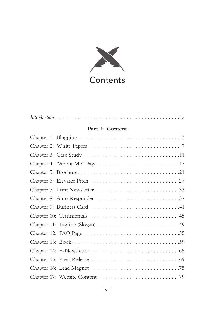

| Part I: Content |
|-----------------|
|                 |
|                 |
|                 |
|                 |
|                 |
|                 |
|                 |
|                 |
|                 |
|                 |
|                 |
|                 |
|                 |
|                 |
|                 |
|                 |
|                 |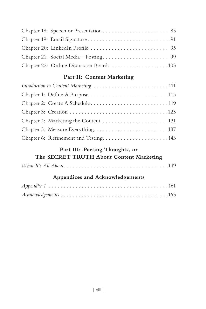| Chapter 22: Online Discussion Boards 103 |  |
|------------------------------------------|--|

#### Part II: Content Marketing

| Introduction to Content Marketing 111 |
|---------------------------------------|
| Chapter 1: Define A Purpose 115       |
|                                       |
|                                       |
|                                       |
|                                       |
| Chapter 6: Refinement and Testing143  |

#### Part III: Parting Thoughts, or

| The SECRET TRUTH About Content Marketing |
|------------------------------------------|
|------------------------------------------|

|--|

#### Appendices and Acknowledgements

| $A$ cknowledgements $\ldots \ldots \ldots \ldots \ldots \ldots \ldots \ldots \ldots \ldots \ldots \ldots \ldots 163$ |  |  |  |  |  |  |  |  |  |  |
|----------------------------------------------------------------------------------------------------------------------|--|--|--|--|--|--|--|--|--|--|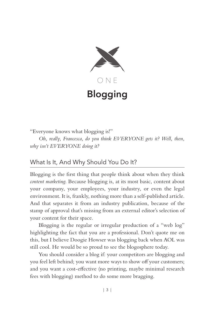

## **Blogging**

"Everyone knows what blogging is!"

*Oh, really, Francesca, do you think EVERYONE gets it? Well, then, why isn't EVERYONE doing it?*

#### What Is It, And Why Should You Do It?

Blogging is the first thing that people think about when they think *content marketing*. Because blogging is, at its most basic, content about your company, your employees, your industry, or even the legal environment. It is, frankly, nothing more than a self-published article. And that separates it from an industry publication, because of the stamp of approval that's missing from an external editor's selection of your content for their space.

Blogging is the regular or irregular production of a "web log" highlighting the fact that you are a professional. Don't quote me on this, but I believe Doogie Howser was blogging back when AOL was still cool. He would be so proud to see the blogosphere today.

You should consider a blog if: your competitors are blogging and you feel left behind; you want more ways to show off your customers; and you want a cost-effective (no printing, maybe minimal research fees with blogging) method to do some more bragging.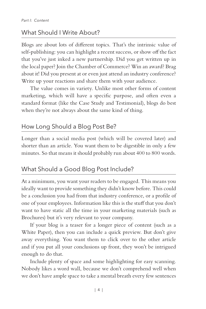#### What Should I Write About?

Blogs are about lots of different topics. That's the intrinsic value of self-publishing: you can highlight a recent success, or show off the fact that you've just inked a new partnership. Did you get written up in the local paper? Join the Chamber of Commerce? Win an award? Brag about it! Did you present at or even just attend an industry conference? Write up your reactions and share them with your audience.

The value comes in variety. Unlike most other forms of content marketing, which will have a specific purpose, and often even a standard format (like the Case Study and Testimonial), blogs do best when they're not always about the same kind of thing.

#### How Long Should a Blog Post Be?

Longer than a social media post (which will be covered later) and shorter than an article. You want them to be digestible in only a few minutes. So that means it should probably run about 400 to 800 words.

#### What Should a Good Blog Post Include?

At a minimum, you want your readers to be engaged. This means you ideally want to provide something they didn't know before. This could be a conclusion you had from that industry conference, or a profile of one of your employees. Information like this is the stuff that you don't want to have static all the time in your marketing materials (such as Brochures) but it's very relevant to your company.

If your blog is a teaser for a longer piece of content (such as a White Paper), then you can include a quick preview. But don't give away everything. You want them to click over to the other article and if you put all your conclusions up front, they won't be intrigued enough to do that.

Include plenty of space and some highlighting for easy scanning. Nobody likes a word wall, because we don't comprehend well when we don't have ample space to take a mental breath every few sentences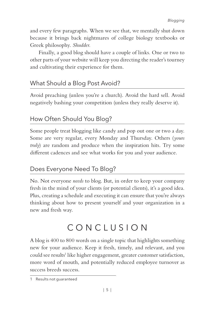and every few paragraphs. When we see that, we mentally shut down because it brings back nightmares of college biology textbooks or Greek philosophy. *Shudder.*

Finally, a good blog should have a couple of links. One or two to other parts of your website will keep you directing the reader's tourney and cultivating their experience for them.

#### What Should a Blog Post Avoid?

Avoid preaching (unless you're a church). Avoid the hard sell. Avoid negatively bashing your competition (unless they really deserve it).

#### How Often Should You Blog?

Some people treat blogging like candy and pop out one or two a day. Some are very regular, every Monday and Thursday. Others (*yours truly*) are random and produce when the inspiration hits. Try some different cadences and see what works for you and your audience.

#### Does Everyone Need To Blog?

No. Not everyone *needs* to blog. But, in order to keep your company fresh in the mind of your clients (or potential clients), it's a good idea. Plus, creating a schedule and executing it can ensure that you're always thinking about how to present yourself and your organization in a new and fresh way.

## CONCLUSION

A blog is 400 to 800 words on a single topic that highlights something new for your audience. Keep it fresh, timely, and relevant, and you could see results<sup>1</sup> like higher engagement, greater customer satisfaction, more word of mouth, and potentially reduced employee turnover as success breeds success.

<sup>1</sup> Results not guaranteed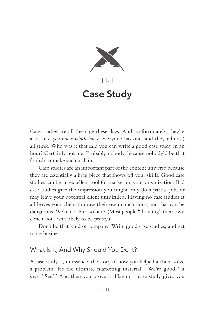

## **Case Study**

Case studies are all the rage these days. And, unfortunately, they're a lot like *you-know-which-holes*: everyone has one, and they (almost) all stink. Who was it that said you can write a good case study in an hour? Certainly not me. Probably nobody, because nobody'd be that foolish to make such a claim.

Case studies are an important part of the content universe because they are essentially a brag piece that shows off your skills. Good case studies can be an excellent tool for marketing your organization. Bad case studies give the impression you might only do a partial job, or may leave your potential client unfulfilled. Having no case studies at all leaves your client to draw their own conclusions, and that can be dangerous. We're not Picasso here. (Most people "drawing" their own conclusions isn't likely to be pretty.)

Don't be that kind of company. Write good case studies, and get more business.

#### What Is It, And Why Should You Do It?

A case study is, in essence, the story of how you helped a client solve a problem. It's the ultimate marketing material. "We're good," it says. "See?" And then you prove it. Having a case study gives you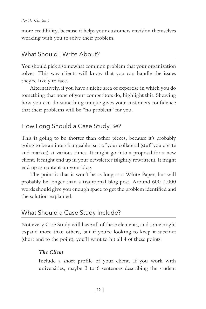more credibility, because it helps your customers envision themselves working with you to solve their problem.

#### What Should I Write About?

You should pick a somewhat common problem that your organization solves. This way clients will know that you can handle the issues they're likely to face.

Alternatively, if you have a niche area of expertise in which you do something that none of your competitors do, highlight this. Showing how you can do something unique gives your customers confidence that their problems will be "no problem" for you.

#### How Long Should a Case Study Be?

This is going to be shorter than other pieces, because it's probably going to be an interchangeable part of your collateral (stuff you create and market) at various times. It might go into a proposal for a new client. It might end up in your newsletter (slightly rewritten). It might end up as content on your blog.

The point is that it won't be as long as a White Paper, but will probably be longer than a traditional blog post. Around 600–1,000 words should give you enough space to get the problem identified and the solution explained.

#### What Should a Case Study Include?

Not every Case Study will have all of these elements, and some might expand more than others, but if you're looking to keep it succinct (short and to the point), you'll want to hit all 4 of these points:

#### *The Client*

Include a short profile of your client. If you work with universities, maybe 3 to 6 sentences describing the student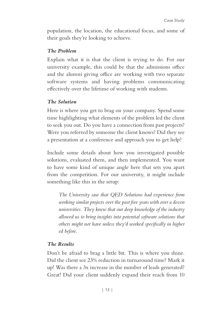population, the location, the educational focus, and some of their goals they're looking to achieve.

#### *The Problem*

Explain what it is that the client is trying to do. For our university example, this could be that the admissions office and the alumni giving office are working with two separate software systems and having problems communicating effectively over the lifetime of working with students.

#### *The Solution*

Here is where you get to brag on your company. Spend some time highlighting what elements of the problem led the client to seek you out. Do you have a connection from past projects? Were you referred by someone the client knows? Did they see a presentation at a conference and approach you to get help?

Include some details about how you investigated possible solutions, evaluated them, and then implemented. You want to have some kind of unique angle here that sets you apart from the competition. For our university, it might include something like this in the setup:

*The University saw that QED Solutions had experience from working similar projects over the past five years with over a dozen universities. They knew that our deep knowledge of the industry allowed us to bring insights into potential software solutions that others might not have unless they'd worked specifically in higher ed before.*

#### *The Results*

Don't be afraid to brag a little bit. This is where you shine. Did the client see 23% reduction in turnaround time? Mark it up! Was there a 3x increase in the number of leads generated? Great! Did your client suddenly expand their reach from 10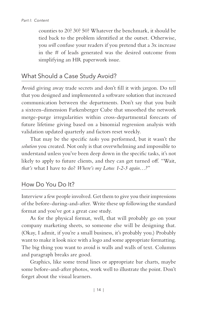counties to 20? 30? 50? Whatever the benchmark, it should be tied back to the problem identified at the outset. Otherwise, you *will* confuse your readers if you pretend that a 3x increase in the # of leads generated was the desired outcome from simplifying an HR paperwork issue.

#### What Should a Case Study Avoid?

Avoid giving away trade secrets and don't fill it with jargon. Do tell that you designed and implemented a software solution that increased communication between the departments. Don't say that you built a sixteen-dimension Farkenberger Cube that smoothed the network merge-purge irregularities within cross-departmental forecasts of future lifetime giving based on a binomial regression analysis with validation updated quarterly and factors reset weekly.

That may be the specific *tasks* you performed, but it wasn't the *solution* you created. Not only is that overwhelming and impossible to understand unless you've been deep down in the specific tasks, it's not likely to apply to future clients, and they can get turned off. "Wait, *that's* what I have to do? *Where's my Lotus 1-2-3 again…?*"

#### How Do You Do It?

Interview a few people involved. Get them to give you their impressions of the before-during-and-after. Write these up following the standard format and you've got a great case study.

As for the physical format, well, that will probably go on your company marketing sheets, so someone else will be designing that. (Okay, I admit, if you're a small business, it's probably you.) Probably want to make it look nice with a logo and some appropriate formatting. The big thing you want to avoid is walls and walls of text. Columns and paragraph breaks are good.

Graphics, like some trend lines or appropriate bar charts, maybe some before-and-after photos, work well to illustrate the point. Don't forget about the visual learners.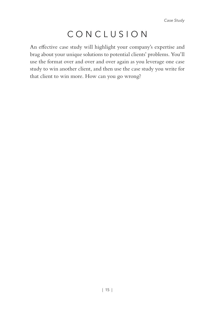## CONCLUSION

An effective case study will highlight your company's expertise and brag about your unique solutions to potential clients' problems. You'll use the format over and over and over again as you leverage one case study to win another client, and then use the case study you write for that client to win more. How can you go wrong?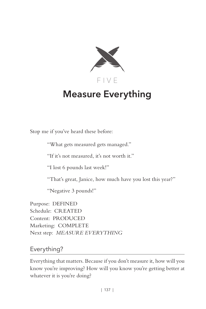

## **Measure Everything**

Stop me if you've heard these before:

"What gets measured gets managed."

"If it's not measured, it's not worth it."

"I lost 6 pounds last week!"

"That's great, Janice, how much have you lost this year?"

"Negative 3 pounds!"

Purpose: DEFINED Schedule: CREATED Content: PRODUCED Marketing: COMPLETE Next step: *MEASURE EVERYTHING*

#### Everything?

Everything that matters. Because if you don't measure it, how will you know you're improving? How will you know you're getting better at whatever it is you're doing?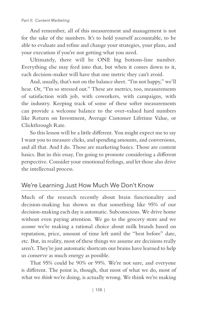#### *Part II: Content Marketing*

And remember, all of this measurement and management is not for the sake of the numbers. It's to hold yourself accountable, to be able to evaluate and refine and change your strategies, your plans, and your execution if you're not getting what you need.

Ultimately, there will be ONE big bottom-line number. Everything else may feed into that, but when it comes down to it, each decision-maker will have that one metric they can't avoid.

And, usually, that's not on the balance sheet. "I'm not happy," we'll hear. Or, "I'm so stressed out." These are metrics, too, measurements of satisfaction with job, with coworkers, with campaigns, with the industry. Keeping track of some of these softer measurements can provide a welcome balance to the over-valued hard numbers like Return on Investment, Average Customer Lifetime Value, or Clickthrough Rate.

So this lesson will be a little different. You might expect me to say I want you to measure clicks, and spending amounts, and conversions, and all that. And I do. Those are marketing basics. Those are content basics. But in this essay, I'm going to promote considering a different perspective. Consider your emotional feelings, and let those also drive the intellectual process.

#### We're Learning Just How Much We Don't Know

Much of the research recently about brain functionality and decision-making has shown us that something like 95% of our decision-making each day is automatic. Subconscious. We drive home without even paying attention. We go to the grocery store and we *assume* we're making a rational choice about milk brands based on reputation, price, amount of time left until the "best before" date, etc. But, in reality, most of these things we assume are decisions really aren't. They're just automatic shortcuts our brains have learned to help us conserve as much energy as possible.

That 95% could be 90% or 99%. We're not sure, and everyone is different. The point is, though, that most of what we do, most of what we *think* we're doing, is actually wrong. We think we're making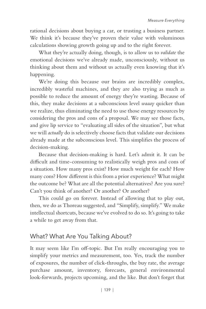rational decisions about buying a car, or trusting a business partner. We think it's because they've proven their value with voluminous calculations showing growth going up and to the right forever.

What they're actually doing, though, is to allow us to *validate* the emotional decisions we've already made, unconsciously, without us thinking about them and without us actually even knowing that it's happening.

We're doing this because our brains are incredibly complex, incredibly wasteful machines, and they are also trying as much as possible to reduce the amount of energy they're wasting. Because of this, they make decisions at a subconscious level *waaay* quicker than we realize, thus eliminating the need to use those energy resources by considering the pros and cons of a proposal. We may see those facts, and give lip service to "evaluating all sides of the situation", but what we will *actually* do is selectively choose facts that validate our decisions already made at the subconscious level. This simplifies the process of decision-making.

Because that decision-making is hard. Let's admit it. It can be difficult and time-consuming to realistically weigh pros and cons of a situation. How many pros exist? How much weight for each? How many cons? How different is this from a prior experience? What might the outcome be? What are all the potential alternatives? Are you sure? Can't you think of another? Or another? Or another?

This could go on forever. Instead of allowing that to play out, then, we do as Thoreau suggested, and "Simplify, simplify." We make intellectual shortcuts, because we've evolved to do so. It's going to take a while to get away from that.

#### What? What Are You Talking About?

It may seem like I'm off-topic. But I'm really encouraging you to simplify your metrics and measurement, too. Yes, track the number of exposures, the number of click-throughs, the buy rate, the average purchase amount, inventory, forecasts, general environmental look-forwards, projects upcoming, and the like. But don't forget that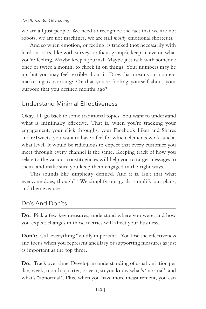we are all just people. We need to recognize the fact that we are not robots, we are not machines, we are still *mostly* emotional shortcuts.

And so when emotion, or feeling, is tracked (not necessarily with hard statistics, like with surveys or focus groups), keep an eye on what you're feeling. Maybe keep a journal. Maybe just talk with someone once or twice a month, to check in on things. Your numbers may be up, but you may feel terrible about it. Does that mean your content marketing is working? Or that you're fooling yourself about your purpose that you defined months ago?

#### Understand Minimal Effectiveness

Okay, I'll go back to some traditional topics. You want to understand what is minimally effective. That is, when you're tracking your engagement, your click-throughs, your Facebook Likes and Shares and reTweets, you want to have a feel for which elements work, and at what level. It would be ridiculous to expect that every customer you meet through every channel is the same. Keeping track of how you relate to the various constituencies will help you to target messages to them, and make sure you keep them engaged in the right ways.

This sounds like simplicity defined. And it is. Isn't that what everyone does, though? "We simplify our goals, simplify our plans, and then execute.

#### Do's And Don'ts

**Do:** Pick a few key measures, understand where you were, and how you expect changes in those metrics will affect your business.

**Don't:** Call everything "wildly important". You lose the effectiveness and focus when you represent ancillary or supporting measures as just as important as the top three.

**Do:** Track over time. Develop an understanding of usual variation per day, week, month, quarter, or year, so you know what's "normal" and what's "abnormal". Plus, when you have more measurement, you can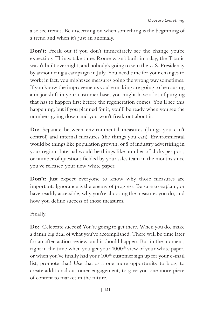also see trends. Be discerning on when something is the beginning of a trend and when it's just an anomaly.

**Don't:** Freak out if you don't immediately see the change you're expecting. Things take time. Rome wasn't built in a day, the Titanic wasn't built overnight, and nobody's going to win the U.S. Presidency by announcing a campaign in July. You need time for your changes to work; in fact, you might see measures going the wrong way sometimes. If you know the improvements you're making are going to be causing a major shift in your customer base, you might have a lot of purging that has to happen first before the regeneration comes. You'll see this happening, but if you planned for it, you'll be ready when you see the numbers going down and you won't freak out about it.

**Do:** Separate between environmental measures (things you can't control) and internal measures (the things you can). Environmental would be things like population growth, or \$ of industry advertising in your region. Internal would be things like number of clicks per post, or number of questions fielded by your sales team in the months since you've released your new white paper.

**Don't:** Just expect everyone to know why those measures are important. Ignorance is the enemy of progress. Be sure to explain, or have readily accessible, why you're choosing the measures you do, and how you define success of those measures.

Finally,

**Do:** Celebrate success! You're going to get there. When you do, make a damn big deal of what you've accomplished. There will be time later for an after-action review, and it should happen. But in the moment, right in the time when you get your 1000<sup>th</sup> view of your white paper, or when you've finally had your 100<sup>th</sup> customer sign up for your e-mail list, promote that! Use that as a one more opportunity to brag, to create additional customer engagement, to give you one more piece of content to market in the future.